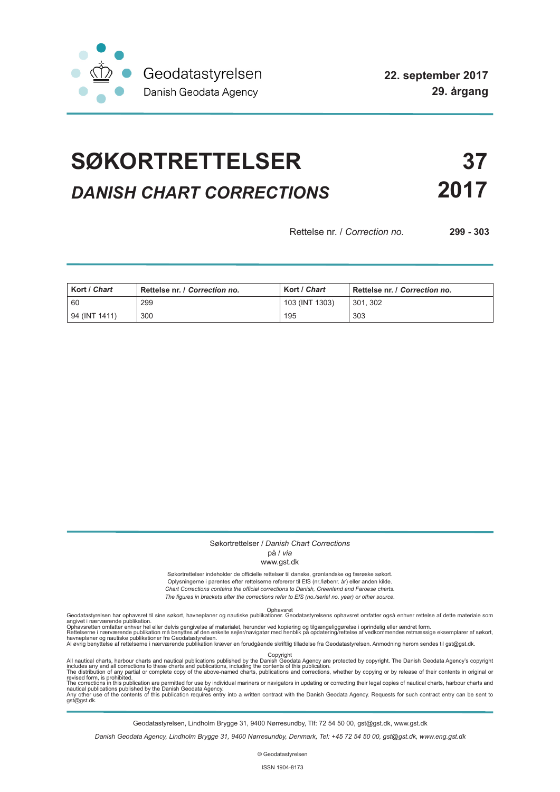

# **SØKORTRETTELSER 37** *DANISH CHART CORRECTIONS* **2017**

Rettelse nr. / *Correction no.* **299 - 303**

| Kort / Chart  | Rettelse nr. / Correction no. | Kort / Chart   | Rettelse nr. / Correction no. |
|---------------|-------------------------------|----------------|-------------------------------|
| 60            | 299                           | 103 (INT 1303) | 301.302                       |
| 94 (INT 1411) | 300                           | 195            | 303                           |

#### Søkortrettelser / *Danish Chart Corrections*

### på / *via*

#### www.gst.dk

Søkortrettelser indeholder de officielle rettelser til danske, grønlandske og færøske søkort. Oplysningerne i parentes efter rettelserne refererer til EfS (nr./løbenr. år) eller anden kilde. *Chart Corrections contains the official corrections to Danish, Greenland and Faroese charts. The figures in brackets after the corrections refer to EfS (no./serial no. year) or other source.*

Ophavsret Geodatastyrelsen har ophavsret til sine søkort, havneplaner og nautiske publikationer. Geodatastyrelsens ophavsret omfatter også enhver rettelse af dette materiale som

angivet i nærværende publikation.<br>Ophavsretten omfatter enhver hel eller delvis gengivelse af materialet, herunder ved kopiering og tilgængeliggørelse i oprindelig eller ændret form.<br>Rettelserne i nærværende publikation må

All nautical charts, harbour charts and nautical publications published by the Dopyright<br>includes any and all corrections to these charts and publications, including the contents of this publication.<br>The distribution of an

Geodatastyrelsen, Lindholm Brygge 31, 9400 Nørresundby, Tlf: 72 54 50 00, gst@gst.dk, www.gst.dk

*Danish Geodata Agency, Lindholm Brygge 31, 9400 Nørresundby, Denmark, Tel: +45 72 54 50 00, gst@gst.dk, www.eng.gst.dk*

© Geodatastyrelsen

ISSN 1904-8173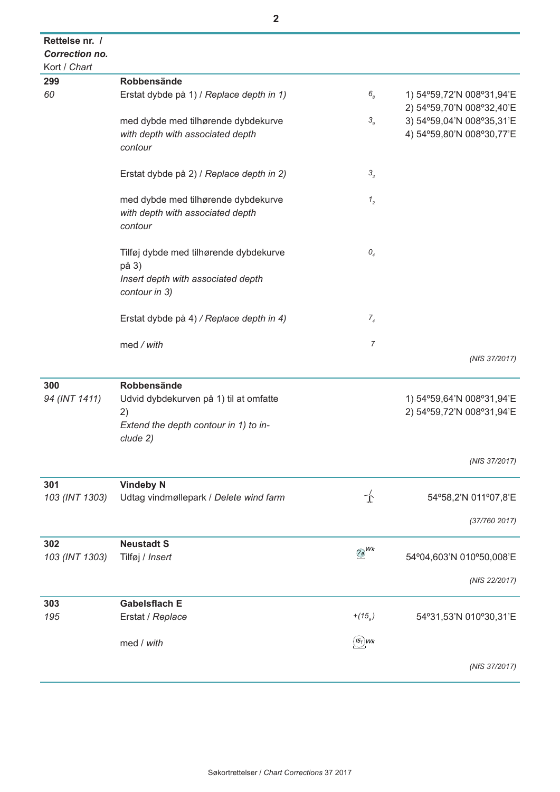| Rettelse nr. /        |                                                                                    |                              |                                                        |
|-----------------------|------------------------------------------------------------------------------------|------------------------------|--------------------------------------------------------|
| <b>Correction no.</b> |                                                                                    |                              |                                                        |
| Kort / Chart          |                                                                                    |                              |                                                        |
| 299                   | Robbensände                                                                        |                              |                                                        |
| 60                    | Erstat dybde på 1) / Replace depth in 1)                                           | 6 <sub>8</sub>               | 1) 54°59,72'N 008°31,94'E<br>2) 54°59,70'N 008°32,40'E |
|                       | med dybde med tilhørende dybdekurve                                                | 3 <sub>9</sub>               | 3) 54°59,04'N 008°35,31'E                              |
|                       | with depth with associated depth<br>contour                                        |                              | 4) 54°59,80'N 008°30,77'E                              |
|                       | Erstat dybde på 2) / Replace depth in 2)                                           | $\mathbf{3}_3$               |                                                        |
|                       | med dybde med tilhørende dybdekurve<br>with depth with associated depth<br>contour | $1\,2$                       |                                                        |
|                       | Tilføj dybde med tilhørende dybdekurve<br>på 3)                                    | O <sub>4</sub>               |                                                        |
|                       | Insert depth with associated depth<br>contour in 3)                                |                              |                                                        |
|                       | Erstat dybde på 4) / Replace depth in 4)                                           | $7\frac{1}{4}$               |                                                        |
|                       | med / with                                                                         | 7                            |                                                        |
|                       |                                                                                    |                              | (NfS 37/2017)                                          |
| 300<br>94 (INT 1411)  | Robbensände<br>Udvid dybdekurven på 1) til at omfatte<br>2)                        |                              | 1) 54°59,64'N 008°31,94'E<br>2) 54°59,72'N 008°31,94'E |
|                       | Extend the depth contour in 1) to in-<br>clude 2)                                  |                              |                                                        |
|                       |                                                                                    |                              | (NfS 37/2017)                                          |
| 301                   | <b>Vindeby N</b>                                                                   |                              |                                                        |
| 103 (INT 1303)        | Udtag vindmøllepark / Delete wind farm                                             | 卞                            | 54°58,2'N 011°07,8'E                                   |
|                       |                                                                                    |                              | (37/760 2017)                                          |
| 302                   | <b>Neustadt S</b>                                                                  |                              |                                                        |
| 103 (INT 1303)        | Tilføj / Insert                                                                    | $\frac{7g}{2}$ <sup>Wk</sup> | 54°04,603'N 010°50,008'E                               |
|                       |                                                                                    |                              | (NfS 22/2017)                                          |
| 303                   | <b>Gabelsflach E</b>                                                               |                              |                                                        |
| 195                   | Erstat / Replace                                                                   | $+(15)$                      | 54°31,53'N 010°30,31'E                                 |
|                       | med / with                                                                         | $(15)$ Wk                    |                                                        |
|                       |                                                                                    |                              | (NfS 37/2017)                                          |